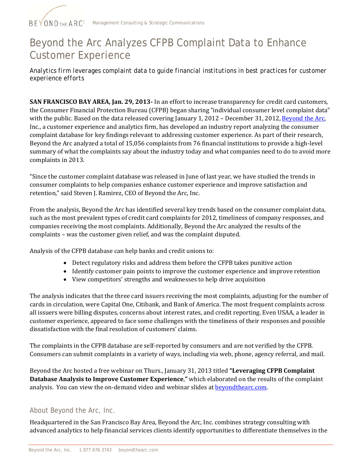

## Beyond the Arc Analyzes CFPB Complaint Data to Enhance Customer Experience

*Analytics firm leverages complaint data to guide financial institutions in best practices for customer experience efforts* 

**SAN FRANCISCO BAY AREA, Jan. 29, 2013-** In an effort to increase transparency for credit card customers, the Consumer Financial Protection Bureau (CFPB) began sharing "individual consumer level complaint data" with the public. Based on the data released covering January 1, 2012 – December 31, 2012, [Beyond the Arc](http://beyondthearc.com/), Inc., a customer experience and analytics firm, has developed an industry report analyzing the consumer complaint database for key findings relevant to addressing customer experience. As part of their research, Beyond the Arc analyzed a total of 15,056 complaints from 76 financial institutions to provide a high-level summary of what the complaints say about the industry today and what companies need to do to avoid more complaints in 2013.

"Since the customer complaint database was released in June of last year, we have studied the trends in consumer complaints to help companies enhance customer experience and improve satisfaction and retention," said Steven J. Ramirez, CEO of Beyond the Arc, Inc.

From the analysis, Beyond the Arc has identified several key trends based on the consumer complaint data, such as the most prevalent types of credit card complaints for 2012, timeliness of company responses, and ompanies receiving the most complaints. Additionally, Beyond the Arc analyzed the results of the c complaints - was the customer given relief, and was the complaint disputed.

Analysis of the CFPB database can help banks and credit unions to:

- Detect regulatory risks and address them before the CFPB takes punitiv e action
- Identify customer pain points to improve the customer experience and improve retention
- View competitors' strengths and weaknesses to help drive acquisition

The analysis indicates that the three card issuers receiving the most complaints, adjusting for the number of cards in circulation, were Capital One, Citibank, and Bank of America. The most frequent complaints across all issuers were billing disputes, concerns about interest rates, and credit reporting. Even USAA, a leader in customer experience, appeared to face some challenges with the timeliness of their responses and possible dissatisfaction with the final resolution of customers' claims.

The complaints in the CFPB database are self-reported by consumers and are not verified by the CFPB. Consumers can submit complaints in a variety of ways, including via web, phone, agency referral, and mail.

Beyond the Arc hosted a free webinar on Thurs., January 31, 2013 titled **"Leveraging CFPB Complaint atabase Analysis to Improve Customer Experience**,**"** which el[aborated on the resu](http://beyondthearc.com/beyond-the-arc-news-events/beyond-the-arc-events-webinarJan31.htm)lts of the complaint **D** analysis. You can view the on-demand video and webinar slides at **beyondthearc.com**.

## About Beyond the Arc, Inc.

Headquartered in the San Francisco Bay Area, Beyond the Arc, Inc. combines strategy consulting with advanced analytics to help financial services clients identify opportunities to differentiate themselves in the